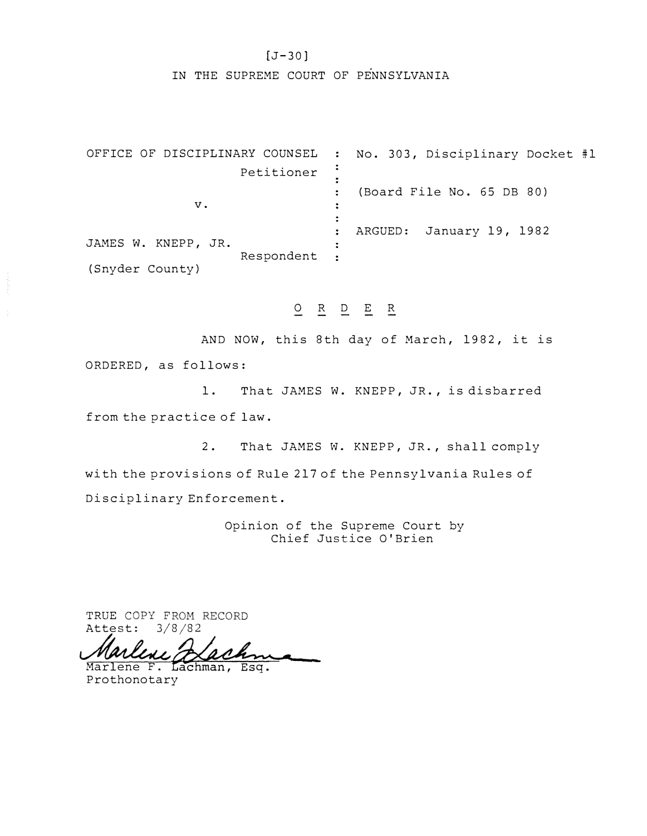## [J-30]

IN THE SUPREME COURT OF PENNSYLVANIA

OFFICE OF DISCIPLINARY COUNSEL No. 303, Disciplinary Docket #1  $\ddot{\bullet}$ Petitioner  $\frac{1}{2}$ (Board File No. 65 DB 80) v.  $\ddot{\bullet}$  $\ddot{\bullet}$  $\ddot{\bullet}$ ARGUED: January 19, 1982 JAMES W. KNEPP, JR.  $\ddot{\cdot}$ Respondent  $\ddot{\cdot}$ (Snyder County)

O R D E R

AND NOW, this 8th day of March, 1982, it is ORDERED, as follows:

1. That JAMES W. KNEPP, JR., is disbarred from the practice of law.

2. That JAMES w. KNEPP, JR., shall comply with the provisions of Rule 217 of the Pennsylvania Rules of Disciplinary Enforcement.

> Opinion of the Supreme Court by Chief Justice O'Brien

TRUE COPY FROM RECORD<br>Attest: 3/8/82

Attest: 3/8/82<br>Marlene F. Lachman, Esq.

Prothonotary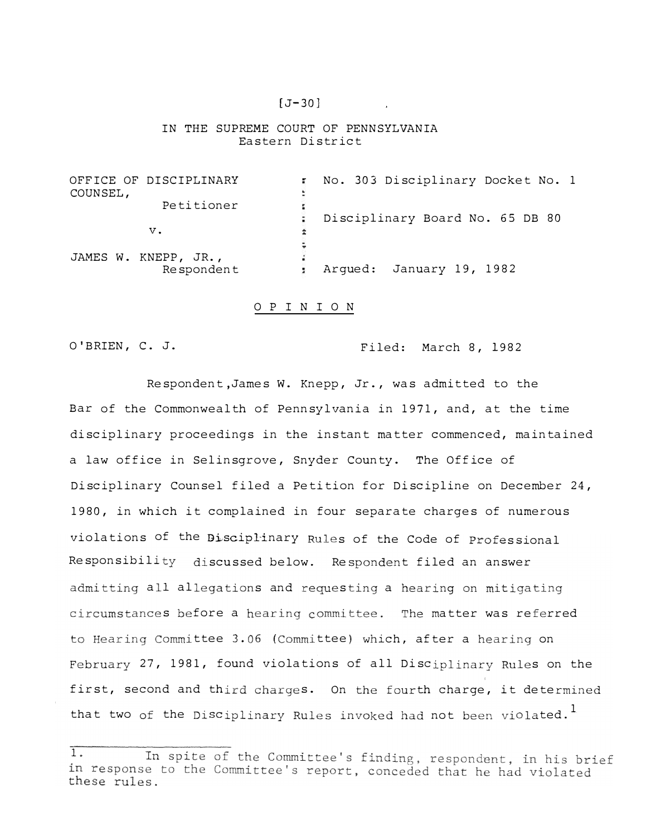#### $[J-30]$

#### IN THE SUPREME COURT OF PENNSYLVANIA Eastern District

OFFICE OF DISCIPLINARY ÷. No. 303 Disciplinary Docket No. 1 COUNSEL, Petitioner Disciplinary Board No. 65 DB 80 ÷. v.  $\pm$ ÷ JAMES W. KNEPP, JR.,<br>Respondent Respondent January 19, 1982

#### O P I N I O N

## O'BRIEN, C. J. Filed: March 8, 1982

Respondent,James W. Knepp, Jr., was admitted to the Bar of the Commonwealth of Pennsylvania in 1971, and, at the time disciplinary proceedings in the instant matter commenced, maintained a law office in Selinsgrove, Snyder County. The Office of Disciplinary Counsel filed a Petition for Discipline on December 24, 1980, in which it complained in four separate charges of numerous violations of the Bisciplinary Rules of the Code of Professional Responsibility discussed below. Respondent filed an answer all allegations and requesting a hearing on mit s before a hearing committee. The matter was referred ttee 3.06 (Committee) which, after a hearing on February 27, 1981, found violations of all Disciplinary Rules on the first, second and third charges. On the fourth charge, it dete: that two of the Disciplinary Rules invoked had not been violated.<sup>1</sup>

 $1.$ In spite of the Committee's finding, respondent, in his brief in response to the Committee's report, conceded that he had violated these rules.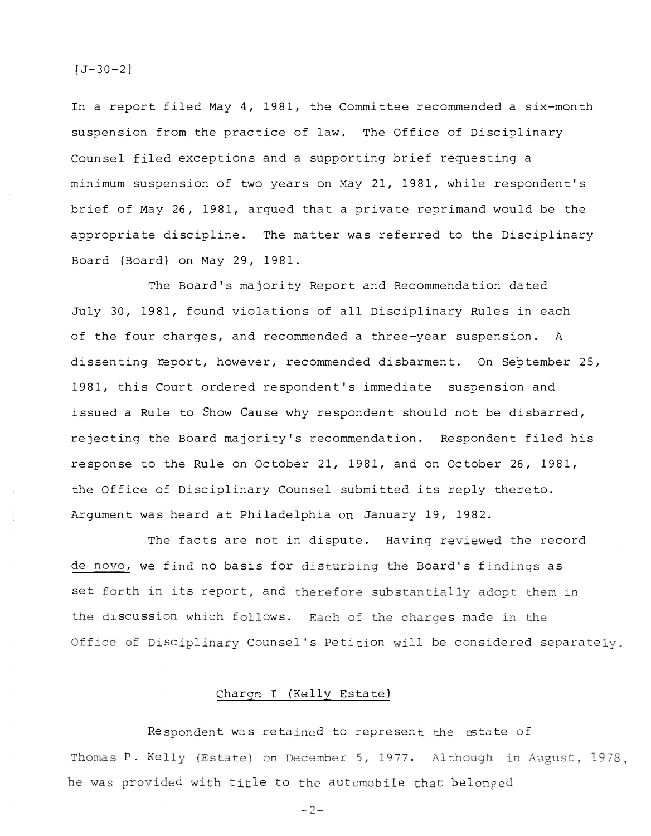#### $[J-30-2]$

In a report filed May 4, 1981, the Committee recommended a six-month suspension from the practice of law. The Office of Disciplinary Counsel filed exceptions and a supporting brief requesting a minimum suspension of two years on May 21, 1981, while respondent's brief of May 26, 1981, argued that a private reprimand would be the appropriate discipline. The matter was referred to the Disciplinary Board (Board) on May 29, 1981.

The Board's majority Report and Recommendation dated July 30, 1981, found violations of all Disciplinary Rules in each of the four charges, and recommended a three-year suspension. A dissenting report, however, recommended disbarment. On September 25, 1981, this Court ordered respondent's immediate suspension and issued a Rule to Show Cause why respondent should not be disbarred, rejecting the Board majority's recommendation. Respondent filed his response to the Rule on October 21, 1981, and on October 26, 1981, the Office of Disciplinary Counsel submitted its reply thereto. Argument was heard at Philadelphia on January 19, 1982.

The facts are not in dispute. Having reviewed the record de novo, we find no basis for disturbing the Board's findings as set forth in its report, and therefore substantially adopt them in the discussion which follows. Each of the charges made in the Office of Disciplinary Counsel's Petition will be considered separately.

# Charge I (Kelly Estate)

Respondent was retained to represent the estate of Thomas P. Kelly (Estate) on December 5, 1977. Although in August, 1978. he was provided with title to the automobile that belonged

 $-2-$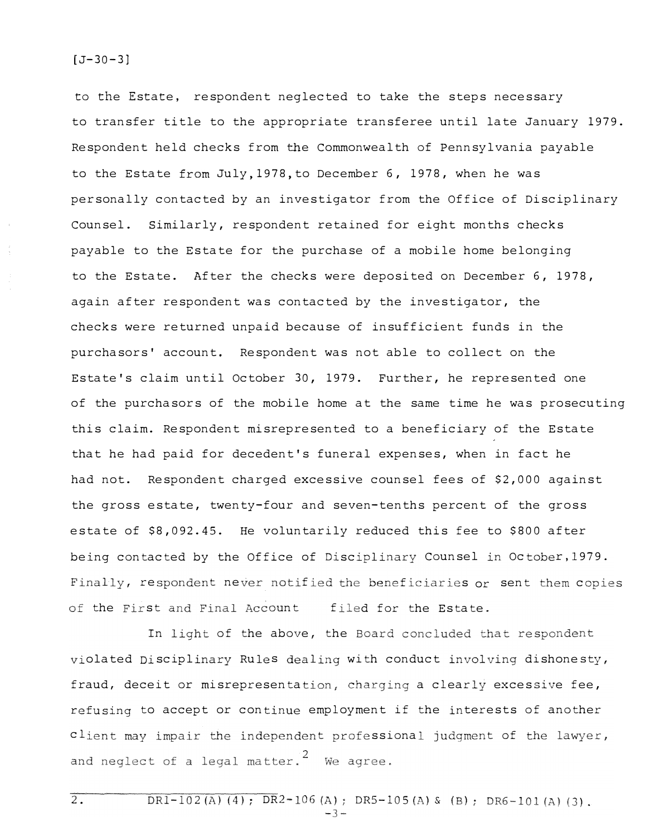$2.$ 

to the Estate, respondent neglected to take the steps necessary to transfer title to the appropriate transferee until late January 1979. Respondent held checks from the Commonwealth of Pennsylvania payable to the Estate from July, 1978, to December 6, 1978, when he was personally contacted by an investigator from the Office of Disciplinary Counsel. Similarly, respondent retained for eight months checks payable to the Estate for the purchase of a mobile home belonging to the Estate. After the checks were deposited on December 6, 1978, again after respondent was contacted by the investigator, the checks were returned unpaid because of insufficient funds in the purchasors' account. Respondent was not able to collect on the Estate's claim until October 30, 1979. Further, he represented one of the purchasors of the mobile home at the same time he was prosecuting this claim. Respondent misrepresented to a beneficiary of the Estate that he had paid for decedent's funeral expenses, when in fact he had not. Respondent charged excessive counsel fees of \$2,000 against the gross estate, twenty-four and seven-tenths percent of the gross estate of \$8,092.45. He voluntarily reduced this fee to \$800 after being contacted by the Office of Disciplinary Counsel in October, 1979. Finally, respondent never notified the beneficiaries or sent them copies the First and Final Account f: filed for the Estate.

olated Disciplinary Rules dealing with conduct involving dishone: In light of the above, the Board concluded that respondent fraud, deceit or misrepresentation, charging a clearly excessive fee, refusing to accept or continue employment if the interests of another client may impair the independent professional judgment of the lawyer, and neglect of a legal matter.<sup>2</sup> We agree.

DR1-102(A)(4); DR2-106(A); DR5-105(A) & (B); DR6-101(A)(3).<br>-3-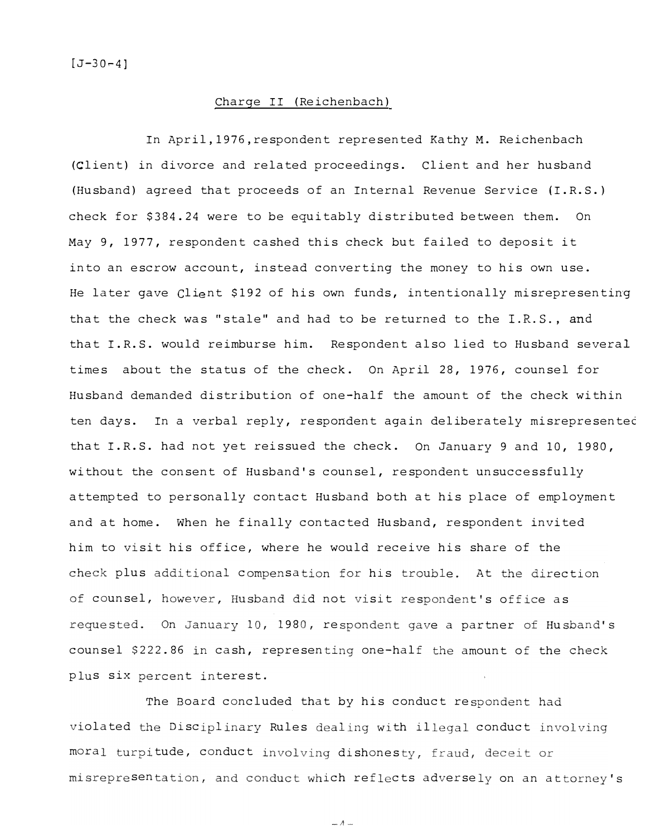$[J-30-4]$ 

## Charge II (Reichenbach)

In April,1976,respondent represented Kathy M. Reichenbach (Client) in divorce and related proceedings. Client and her husband (Husband) agreed that proceeds of an Internal Revenue Service {I.R.S.) check for \$384.24 were to be equitably distributed between them. On May 9, 1977, respondent cashed this check but failed to deposit it into an escrow account, instead converting the money to his own use. He later gave Client \$192 of his own funds, intentionally misrepresenting that the check was "stale" and had to be returned to the I.R.S., and that I.R.S. would reimburse him. Respondent also lied to Husband several times about the status of the check. On April 28, 1976, counsel for Husband demanded distribution of one-half the amount of the check within ten days. In a verbal reply, respondent again deliberately misrepresentec that I.R.S. had not yet reissued the check. On January 9 and 10, 1980, without the consent of Husband's counsel, respondent unsuccessfully attempted to personally contact Husband both at his place of employment and at home. When he finally contacted Husband, respondent invited him to visit his office, where he would receive his share of the plus additional compensation for his trouble. At the direction counsel, however, Husband did not visit respondent's office as On January 10, 1980, respondent gave a partner of Husband's counsel \$222.86 in cash, representing one-half the amount of the plus six percent interest.

The Board concluded that by his conduct respondent had olated the Disciplinary Rules dealing with illegal conduct moral turpitude, conduct involving dishones sentation, and conduct which reflects adversely on an attorney's

 $A-$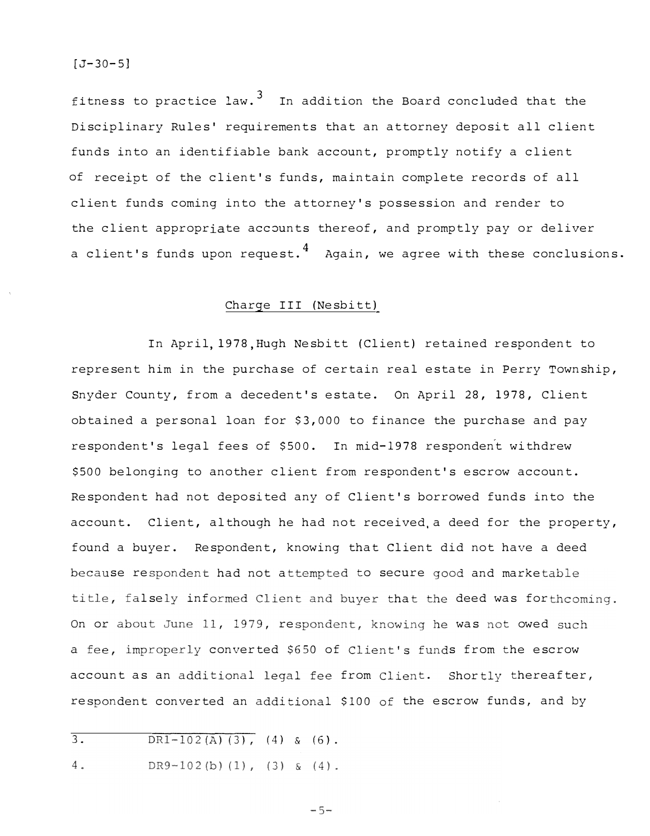fitness to practice law.  $3\quad$  In addition the Board concluded that the Disciplinary Rules' requirements that an attorney deposit all client funds into an identifiable bank account, promptly notify a client of receipt of the client's funds, maintain complete records of all client funds coming into the attorney's possession and render to the client appropriate accounts thereof, and promptly pay or deliver a client's funds upon request.<sup>4</sup> Again, we agree with these conclusions.

# Charge III (Nesbitt)

In April, 1978 ,Hugh Nesbitt (Client) retained respondent to represent him in the purchase of certain real estate in Perry Township, Snyder County, from a decedent's estate. On April 28, 1978, Client obtained a personal loan for \$3,000 to finance the purchase and pay respondent's legal fees of \$500. In mid-1978 respondent withdrew \$500 belonging to another client from respondent's escrow account. Respondent had not deposited any of Client's borrowed funds into the account. Client, although he had not received.a deed for the property, found a buyer. Respondent, knowing that Client did not have a deed se respondent had not attempted to secure good and market lsely informed Client and buyer that the deed was for On or about June 11, 1979, respondent, knowing he was not owed a fee, improperly converted \$650 of Client's funds from the escrow account as an additional legal fee from Client. Shortly thereafter, respondent converted an additional \$100 of the escrow funds, and by

- $\overline{3}$ .  $DR1-102(A)(3)$ , (4) & (6).
- 4. DR9-102(b)(1), (3) & (4).

 $-5-$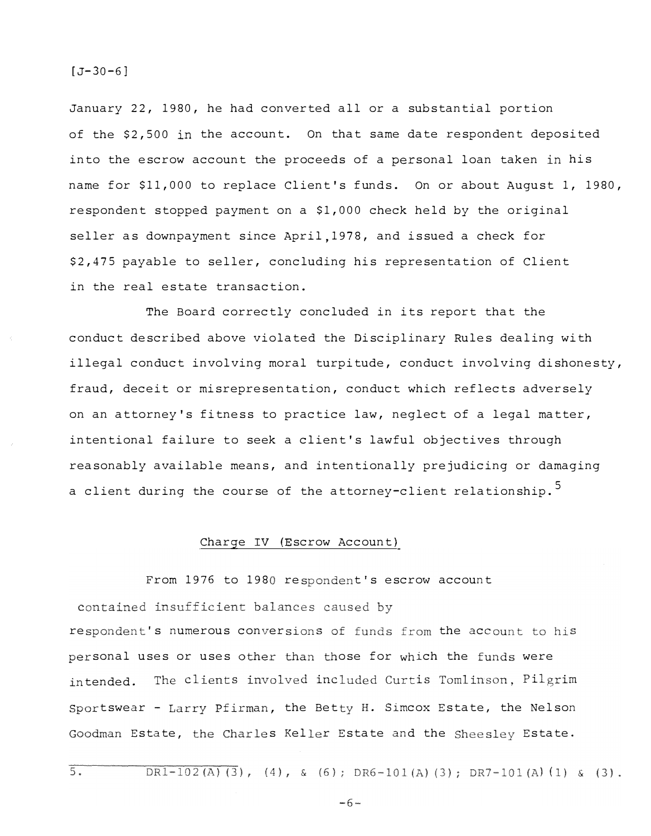#### $[J-30-6]$

January 22, 1980, he had converted all or a substantial portion of the \$2,500 in the account. On that same date respondent deposited into the escrow account the proceeds of a personal loan taken in his name for \$11,000 to replace Client's funds. On or about August 1, 1980, respondent stopped payment on a \$1,000 check held by the original seller as downpayment since April,1978, and issued a check for \$2,475 payable to seller, concluding his representation of Client in the real estate transaction.

The Board correctly concluded in its report that the conduct described above violated the Disciplinary Rules dealing with illegal conduct involving moral turpitude, conduct involving dishonesty, fraud, deceit or misrepresentation, conduct which reflects adversely on an attorney's fitness to practice law, neglect of a legal matter, intentional failure to seek a client's lawful objectives through reasonably available means, and intentionally prejudicing or damaging a client during the course of the attorney-client relationship.<sup>5</sup>

## Charge IV (Escrow Account)

contained insufficient balances caused by respondent's numerous conversions of funds from the account to his From 1976 to 1980 respondent's escrow account sonal uses or uses other than those for which the funds were tended. The clients involved included Curtis Tomlinson, Pilgrim Sportswear - Larry Pfirman, the Betty H. Simcox Estate, the Nelson Goodman Estate, the Charles Keller Estate and the Sheesley Estate.

 $DR1-102(A)(3)$ , (4), & (6);  $DR6-101(A)(3)$ ;  $DR7-101(A)(1)$  & (3).

 $-6-$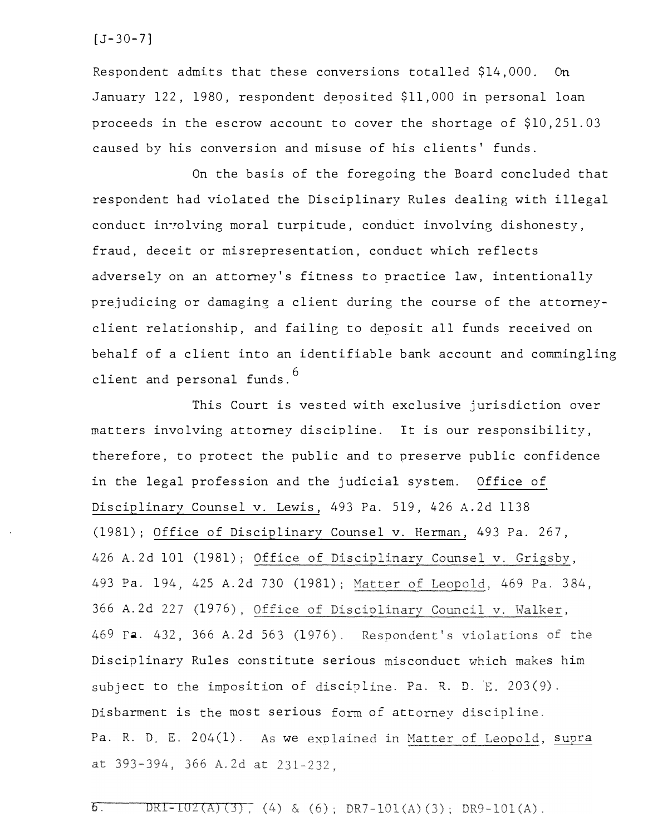$[J-30-7]$ 

Respondent admits that these conversions totalled \$14,000. On January 122, 1980, respondent deposited \$11,000 in personal loan proceeds in the escrow account to cover the shortage of \$10,251.03 caused by his conversion and misuse of his clients' funds.

On the basis of the foregoing the Board concluded that respondent had violated the Disciplinary Rules dealing with illegal conduct involving moral turpitude, conduct involving dishonesty, fraud, deceit or misrepresentation, conduct which reflects adversely on an attorney's fitness to practice law, intentionally prejudicing or damaging a client during the course of the attorneyclient relationship, and failing to deposit all funds received on behalf of a client into an identifiable bank account and commingling client and personal funds.  $^6$ 

This Court is vested with exclusive jurisdiction over matters involving attorney discipline. It is our responsibility, therefore, to protect the public and to preserve public confidence in the legal profession and the judicial system. Office of Disciplinary Counsel v. Lewis, 493 Pa. 519, 426 A.2d 1138 (1981); Office of Disciplinary Counsel v. Herman, 493 Pa. 267, 426 A.2d 101 (1981); Office of Disciplinary Counsel v. Grigsby, 3 Pa. 194, 425 A.2d 730 (1981); Matter of Leopold, 469 Pa. 3 366 A.2d 227 (1976), Office of Disciplinary Council v. Walker, 9 Fa. 432, 366 A.2d 563 (1976). Respondent's violations of Disciplinary Rules constitute serious misconduct which makes him ect to the imposition of discipline. Pa. R. D. E. 203(9). sbarment is the most serious form of attorney discipl Pa. R. D. E. 204(1). As we explained in <u>Matter of Leopold</u>, supra at 393-394, 366 A.2d at 231-232.

DRI-IOZ(A)(3), (4) & (6); DR7-101(A)(3); DR9-101(A).  $5^-$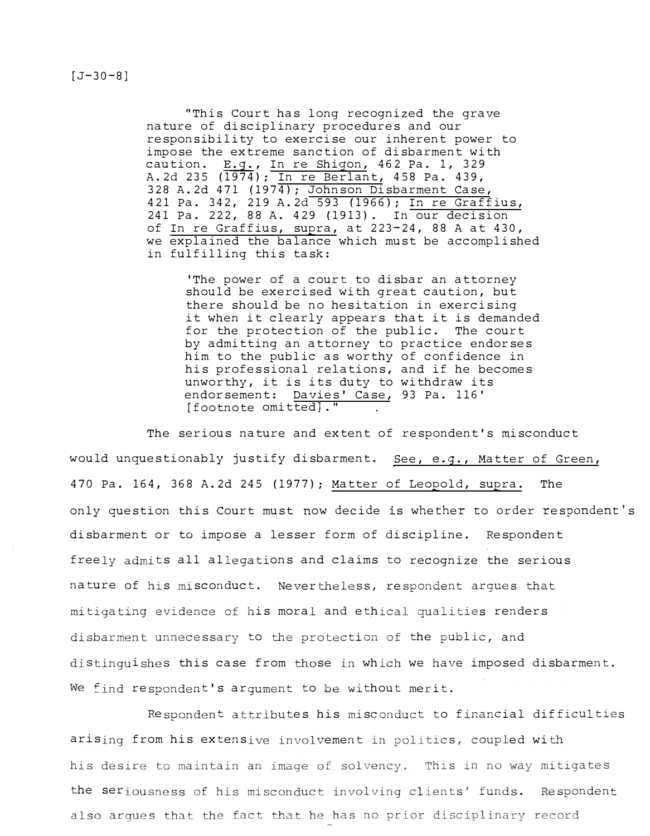$[J-30-8]$ 

"This court has long recognized the grave nature of disciplinary procedures and our responsibility to exercise our inherent power to impose the extreme sanction of disbarment with caution. E.g., In re Shigon, 462 Pa. 1, 329 A.2d 235 (1974); In re Berlant, 458 Pa. 439, 328 A.2d 471 (1974); Johnson Disbarment Case, 421 Pa. 342, 219 A.2d 593 (1966); In re Graffius, 241 Pa. 222, 88 A. 429 (1913). In our decision of In re Graffius, supra, at 223-24, 88 A at 430, we explained the balance which must be accomplished in fulfilling this task:

> 'The power of a court to disbar an attorney should be exercised with great caution, but there should be no hesitation in exercising it when it clearly appears that it is demanded for the protection of the public. The court by admitting an attorney to practice endorses him to the public as worthy of confidence in his professional relations, and if he becomes unworthy, it is its duty to withdraw its endorsement: Davies' Case, 93 Pa. 116' [footnote omitted] . "

The serious nature and extent of respondent's misconduct would unquestionably justify disbarment. See, e.g., Matter of Green, 470 Pa. 164, 368 A.2d 245 (1977); Matter of Leopold, supra. The only question this Court must now decide is whether to order respondent's disbarment or to impose a lesser form of discipline. Respondent freely admits all allegations and claims to recognize the serious nature of his misconduct. Never the less, respondent arques that mitigating evidence of his moral and ethical qualities renders disbarment unnecessary to the protection of the public, and distinguishes this case from those in which we have imposed disbarment. We find respondent's argument to be without merit.

Respondent attributes his misconduct to financial difficulties arising from his extensive involvement in politics, coupled with his desire to maintain an image of solvency. This in no way mitigates the seriousness of his misconduct involving clients' funds. Respondent also arques that the fact that he has no prior disciplinary record